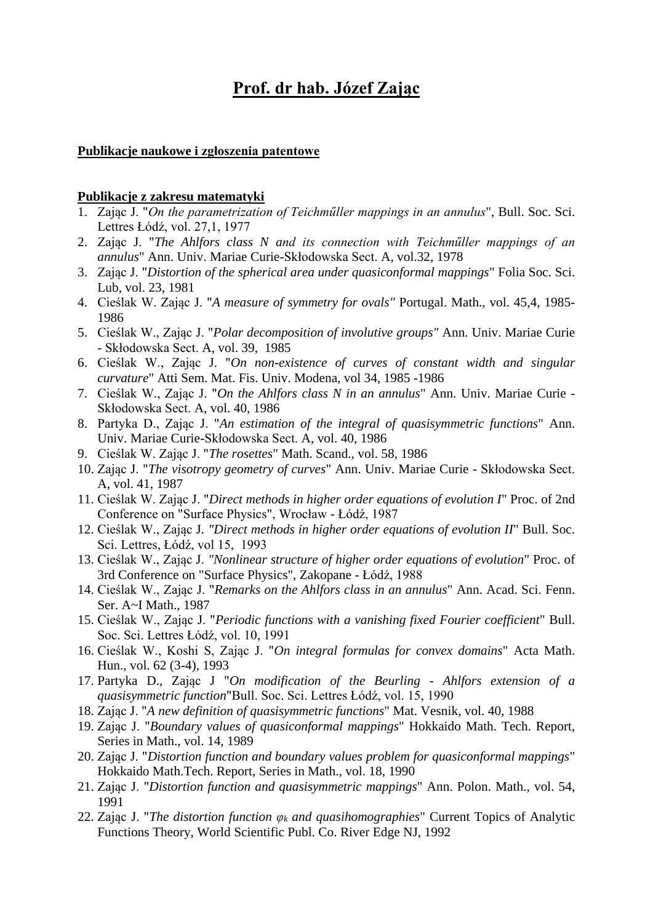# **Prof. dr hab. Józef Zając**

#### **Publikacje naukowe i zgłoszenia patentowe**

#### **Publikacje z zakresu matematyki**

- 1. Zając J. "*On the parametrization of Teichműller mappings in an annulus*", Bull. Soc. Sci. Lettres Łódź, vol. 27,1, 1977
- 2. Zając J. "*The Ahlfors class N and its connection with Teichműller mappings of an annulus*" Ann. Univ. Mariae Curie-Skłodowska Sect. A, vol.32, 1978
- 3. Zając J. "*Distortion of the spherical area under quasiconformal mappings*" Folia Soc. Sci. Lub, vol. 23, 1981
- 4. Cieślak W. Zając J. "*A measure of symmetry for ovals"* Portugal. Math., vol. 45,4, 1985- 1986
- 5. Cieślak W., Zając J. "*Polar decomposition of involutive groups"* Ann. Univ. Mariae Curie - Skłodowska Sect. A, vol. 39, 1985
- 6. Cieślak W., Zając J. "*On non-existence of curves of constant width and singular curvature*" Atti Sem. Mat. Fis. Univ. Modena, vol 34, 1985 -1986
- 7. Cieślak W., Zając J. "*On the Ahlfors class N in an annulus*" Ann. Univ. Mariae Curie Skłodowska Sect. A, vol. 40, 1986
- 8. Partyka D., Zając J. "*An estimation of the integral of quasisymmetric functions*" Ann. Univ. Mariae Curie-Skłodowska Sect. A, vol. 40, 1986
- 9. Cieślak W. Zając J. "*The rosettes*" Math. Scand., vol. 58, 1986
- 10. Zając J. "*The visotropy geometry of curves*" Ann. Univ. Mariae Curie Skłodowska Sect. A, vol. 41, 1987
- 11. Cieślak W. Zając J. "*Direct methods in higher order equations of evolution I*" Proc. of 2nd Conference on "Surface Physics", Wrocław - Łódź, 1987
- 12. Cieślak W., Zając J*. "Direct methods in higher order equations of evolution II*" Bull. Soc. Sci. Lettres, Łódź, vol 15, 1993
- 13. Cieślak W., Zając J. *"Nonlinear structure of higher order equations of evolution*" Proc. of 3rd Conference on "Surface Physics", Zakopane - Łódź, 1988
- 14. Cieślak W., Zając J. "*Remarks on the Ahlfors class in an annulus*" Ann. Acad. Sci. Fenn. Ser. A~I Math., 1987
- 15. Cieślak W., Zając J. "*Periodic functions with a vanishing fixed Fourier coefficient*" Bull. Soc. Sci. Lettres Łódź, vol. 10, 1991
- 16. Cieślak W., Koshi S, Zając J. "*On integral formulas for convex domains*" Acta Math. Hun., vol. 62 (3-4), 1993
- 17. Partyka D., Zając J "*On modification of the Beurling - Ahlfors extension of a quasisymmetric function*"Bull. Soc. Sci. Lettres Łódź, vol. 15, 1990
- 18. Zając J. "*A new definition of quasisymmetric functions*" Mat. Vesnik, vol. 40, 1988
- 19. Zając J. "*Boundary values of quasiconformal mappings*" Hokkaido Math. Tech. Report, Series in Math., vol. 14, 1989
- 20. Zając J. "*Distortion function and boundary values problem for quasiconformal mappings*" Hokkaido Math.Tech. Report, Series in Math., vol. 18, 1990
- 21. Zając J. "*Distortion function and quasisymmetric mappings*" Ann. Polon. Math., vol. 54, 1991
- 22. Zając J. "*The distortion function φ<sup>k</sup> and quasihomographies*" Current Topics of Analytic Functions Theory, World Scientific Publ. Co. River Edge NJ, 1992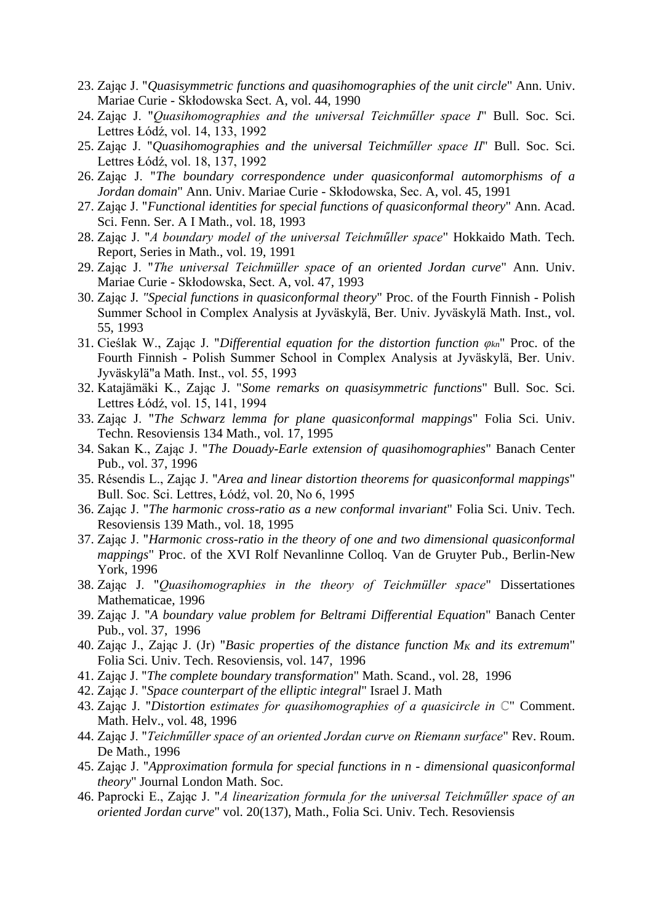- 23. Zając J. "*Quasisymmetric functions and quasihomographies of the unit circle*" Ann. Univ. Mariae Curie - Skłodowska Sect. A, vol. 44, 1990
- 24. Zając J. "*Quasihomographies and the universal Teichműller space I*" Bull. Soc. Sci. Lettres Łódź, vol. 14, 133, 1992
- 25. Zając J. "*Quasihomographies and the universal Teichműller space II*" Bull. Soc. Sci. Lettres Łódź, vol. 18, 137, 1992
- 26. Zając J. "*The boundary correspondence under quasiconformal automorphisms of a Jordan domain*" Ann. Univ. Mariae Curie - Skłodowska, Sec. A, vol. 45, 1991
- 27. Zając J. "*Functional identities for special functions of quasiconformal theory*" Ann. Acad. Sci. Fenn. Ser. A I Math., vol. 18, 1993
- 28. Zając J. "*A boundary model of the universal Teichműller space*" Hokkaido Math. Tech. Report, Series in Math., vol. 19, 1991
- 29. Zając J. "*The universal Teichmüller space of an oriented Jordan curve*" Ann. Univ. Mariae Curie - Skłodowska, Sect. A, vol. 47, 1993
- 30. Zając J*. "Special functions in quasiconformal theory*" Proc. of the Fourth Finnish Polish Summer School in Complex Analysis at Jyväskylä, Ber. Univ. Jyväskylä Math. Inst., vol. 55, 1993
- 31. Cieślak W., Zając J. "*Differential equation for the distortion function φkn*" Proc. of the Fourth Finnish - Polish Summer School in Complex Analysis at Jyväskylä, Ber. Univ. Jyväskylä"a Math. Inst., vol. 55, 1993
- 32. Katajämäki K., Zając J. "*Some remarks on quasisymmetric functions*" Bull. Soc. Sci. Lettres Łódź, vol. 15, 141, 1994
- 33. Zając J. "*The Schwarz lemma for plane quasiconformal mappings*" Folia Sci. Univ. Techn. Resoviensis 134 Math., vol. 17, 1995
- 34. Sakan K., Zając J. "*The Douady-Earle extension of quasihomographies*" Banach Center Pub., vol. 37, 1996
- 35. Résendis L., Zając J. "*Area and linear distortion theorems for quasiconformal mappings*" Bull. Soc. Sci. Lettres, Łódź, vol. 20, No 6, 1995
- 36. Zając J. "*The harmonic cross-ratio as a new conformal invariant*" Folia Sci. Univ. Tech. Resoviensis 139 Math., vol. 18, 1995
- 37. Zając J. "*Harmonic cross-ratio in the theory of one and two dimensional quasiconformal mappings*" Proc. of the XVI Rolf Nevanlinne Colloq. Van de Gruyter Pub., Berlin-New York, 1996
- 38. Zając J. "*Quasihomographies in the theory of Teichmüller space*" Dissertationes Mathematicae, 1996
- 39. Zając J. "*A boundary value problem for Beltrami Differential Equation*" Banach Center Pub., vol. 37, 1996
- 40. Zając J., Zając J. (Jr) "*Basic properties of the distance function M<sup>K</sup> and its extremum*" Folia Sci. Univ. Tech. Resoviensis, vol. 147, 1996
- 41. Zając J. "*The complete boundary transformation*" Math. Scand., vol. 28, 1996
- 42. Zając J. "*Space counterpart of the elliptic integral*" Israel J. Math
- 43. Zając J. "*Distortion estimates for quasihomographies of a quasicircle in ℂ*" Comment. Math. Helv., vol. 48, 1996
- 44. Zając J. "*Teichműller space of an oriented Jordan curve on Riemann surface*" Rev. Roum. De Math., 1996
- 45. Zając J. "*Approximation formula for special functions in n - dimensional quasiconformal theory*" Journal London Math. Soc.
- 46. Paprocki E., Zając J. "*A linearization formula for the universal Teichműller space of an oriented Jordan curve*" vol. 20(137), Math., Folia Sci. Univ. Tech. Resoviensis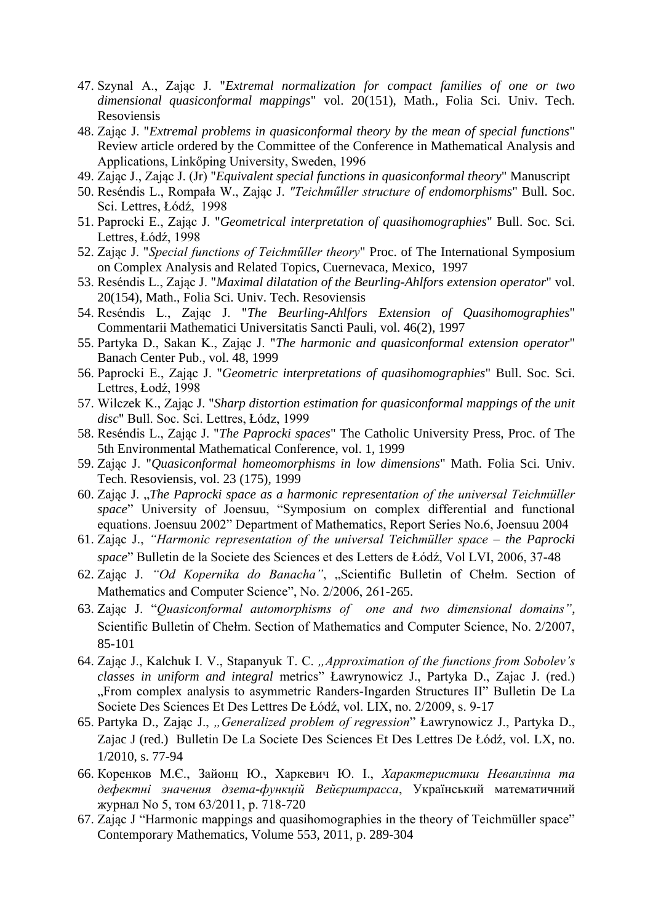- 47. Szynal A., Zając J. "*Extremal normalization for compact families of one or two dimensional quasiconformal mappings*" vol. 20(151), Math., Folia Sci. Univ. Tech. Resoviensis
- 48. Zając J. "*Extremal problems in quasiconformal theory by the mean of special functions*" Review article ordered by the Committee of the Conference in Mathematical Analysis and Applications, Linkőping University, Sweden, 1996
- 49. Zając J., Zając J. (Jr) "*Equivalent special functions in quasiconformal theory*" Manuscript
- 50. Reséndis L., Rompała W., Zając J. *"Teichműller structure of endomorphisms*" Bull. Soc. Sci. Lettres, Łódź, 1998
- 51. Paprocki E., Zając J. "*Geometrical interpretation of quasihomographies*" Bull. Soc. Sci. Lettres, Łódź, 1998
- 52. Zając J. "*Special functions of Teichműller theory*" Proc. of The International Symposium on Complex Analysis and Related Topics, Cuernevaca, Mexico, 1997
- 53. Reséndis L., Zając J. "*Maximal dilatation of the Beurling-Ahlfors extension operator*" vol. 20(154), Math., Folia Sci. Univ. Tech. Resoviensis
- 54. Reséndis L., Zając J. "*The Beurling-Ahlfors Extension of Quasihomographies*" Commentarii Mathematici Universitatis Sancti Pauli, vol. 46(2), 1997
- 55. Partyka D., Sakan K., Zając J. "*The harmonic and quasiconformal extension operator*" Banach Center Pub., vol. 48, 1999
- 56. Paprocki E., Zając J. "*Geometric interpretations of quasihomographies*" Bull. Soc. Sci. Lettres, Łodź, 1998
- 57. Wilczek K., Zając J. "*Sharp distortion estimation for quasiconformal mappings of the unit disc*" Bull. Soc. Sci. Lettres, Łódz, 1999
- 58. Reséndis L., Zając J. "*The Paprocki spaces*" The Catholic University Press, Proc. of The 5th Environmental Mathematical Conference, vol. 1, 1999
- 59. Zając J. "*Quasiconformal homeomorphisms in low dimensions*" Math. Folia Sci. Univ. Tech. Resoviensis, vol. 23 (175), 1999
- 60. Zając J. "*The Paprocki space as a harmonic representation of the universal Teichmüller space*" University of Joensuu, "Symposium on complex differential and functional equations. Joensuu 2002" Department of Mathematics, Report Series No.6, Joensuu 2004
- 61. Zając J., *"Harmonic representation of the universal Teichmüller space – the Paprocki space*" Bulletin de la Societe des Sciences et des Letters de Łódź, Vol LVI, 2006, 37-48
- 62. Zając J. *"Od Kopernika do Banacha"*, "Scientific Bulletin of Chełm. Section of Mathematics and Computer Science", No. 2/2006, 261-265.
- 63. Zając J. "*Quasiconformal automorphisms of one and two dimensional domains"*, Scientific Bulletin of Chełm. Section of Mathematics and Computer Science, No. 2/2007, 85-101
- 64. Zając J., Kalchuk I. V., Stapanyuk T. C. *"Approximation of the functions from Sobolev's classes in uniform and integral* metrics" Ławrynowicz J., Partyka D., Zajac J. (red.) "From complex analysis to asymmetric Randers-Ingarden Structures II" Bulletin De La Societe Des Sciences Et Des Lettres De Łódź, vol. LIX, no. 2/2009, s. 9-17
- 65. Partyka D., Zając J., *"Generalized problem of regression*" Ławrynowicz J., Partyka D., Zajac J (red.) Bulletin De La Societe Des Sciences Et Des Lettres De Łódź, vol. LX, no. 1/2010, s. 77-94
- 66. Коренков М.Є., Зайонц Ю., Харкевич Ю. I., *Характеристики Неванлінна та дефектні значения дзета-функцій Вейєрштрасса*, Український математичний журнал No 5, том 63/2011, p. 718-720
- 67. Zając J "Harmonic mappings and quasihomographies in the theory of Teichmüller space" Contemporary Mathematics, Volume 553, 2011, p. 289-304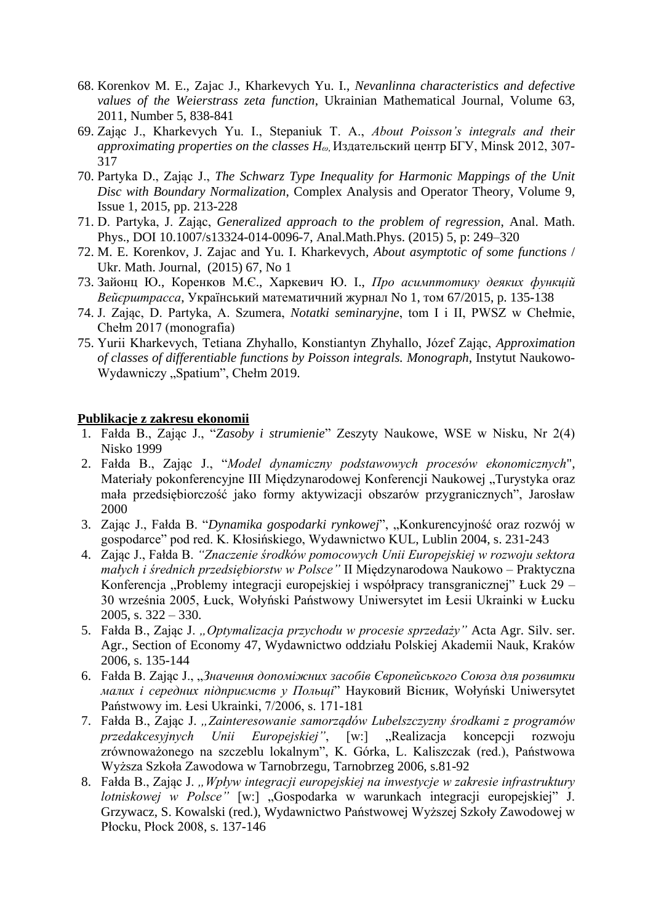- 68. Korenkov M. E., Zajac J., Kharkevych Yu. I., *Nevanlinna characteristics and defective values of the Weierstrass zeta function*, Ukrainian Mathematical Journal, Volume 63, 2011, Number 5, 838-841
- 69. Zając J., Kharkevych Yu. I., Stepaniuk T. A., *About Poisson's integrals and their approximating properties on the classes Hω*, Издательский центр БГУ, Minsk 2012, 307- 317
- 70. Partyka D., Zając J., *The Schwarz Type Inequality for Harmonic Mappings of the Unit Disc with Boundary Normalization*, Complex Analysis and Operator Theory, Volume 9, Issue 1, 2015, pp. 213-228
- 71. D. Partyka, J. Zając, *Generalized approach to the problem of regression*, Anal. Math. Phys., DOI 10.1007/s13324-014-0096-7, Anal.Math.Phys. (2015) 5, p: 249–320
- 72. M. E. Korenkov, J. Zajac and Yu. I. Kharkevych*, About asymptotic of some functions* / Ukr. Math. Journal, (2015) 67, No 1
- 73. Зайонц Ю., Коренков М.Є., Харкевич Ю. I., *Про асимптотику деяких функцій Вейєрштрасса*, Український математичний журнал No 1, том 67/2015, p. 135-138
- 74. J. Zając, D. Partyka, A. Szumera, *Notatki seminaryjne*, tom I i II, PWSZ w Chełmie, Chełm 2017 (monografia)
- 75. Yurii Kharkevych, Tetiana Zhyhallo, Konstiantyn Zhyhallo, Józef Zając, *Approximation of classes of differentiable functions by Poisson integrals. Monograph*, Instytut Naukowo-Wydawniczy "Spatium", Chełm 2019.

## **Publikacje z zakresu ekonomii**

- 1. Fałda B., Zając J., "*Zasoby i strumienie*" Zeszyty Naukowe, WSE w Nisku, Nr 2(4) Nisko 1999
- 2. Fałda B., Zając J., "*Model dynamiczny podstawowych procesów ekonomicznych*", Materiały pokonferencyjne III Międzynarodowej Konferencji Naukowej "Turystyka oraz mała przedsiębiorczość jako formy aktywizacji obszarów przygranicznych", Jarosław 2000
- 3. Zając J., Fałda B. "Dynamika gospodarki rynkowej", "Konkurencyjność oraz rozwój w gospodarce" pod red. K. Kłosińskiego, Wydawnictwo KUL, Lublin 2004, s. 231-243
- 4. Zając J., Fałda B. *"Znaczenie środków pomocowych Unii Europejskiej w rozwoju sektora małych i średnich przedsiębiorstw w Polsce"* II Międzynarodowa Naukowo – Praktyczna Konferencja "Problemy integracji europejskiej i współpracy transgranicznej" Łuck 29 – 30 września 2005, Łuck, Wołyński Państwowy Uniwersytet im Łesii Ukrainki w Łucku 2005, s. 322 – 330.
- 5. Fałda B., Zając J. *"Optymalizacja przychodu w procesie sprzedaży"* Acta Agr. Silv. ser. Agr., Section of Economy 47, Wydawnictwo oddziału Polskiej Akademii Nauk, Kraków 2006, s. 135-144
- 6. Fałda B. Zając J., "*Значення допоміжних засобів Європейського Союза для розвитки малих і середних підприємств у Польщі*" Науковий Вісник, Wołyński Uniwersytet Państwowy im. Łesi Ukrainki, 7/2006, s. 171-181
- 7. Fałda B., Zając J. *"Zainteresowanie samorządów Lubelszczyzny środkami z programów przedakcesyjnych Unii Europejskiej"*, [w:] "Realizacja koncepcji rozwoju zrównoważonego na szczeblu lokalnym", K. Górka, L. Kaliszczak (red.), Państwowa Wyższa Szkoła Zawodowa w Tarnobrzegu, Tarnobrzeg 2006, s.81-92
- 8. Fałda B., Zając J. *"Wpływ integracji europejskiej na inwestycje w zakresie infrastruktury lotniskowej w Polsce"* [w:] "Gospodarka w warunkach integracji europejskiej" J. Grzywacz, S. Kowalski (red.), Wydawnictwo Państwowej Wyższej Szkoły Zawodowej w Płocku, Płock 2008, s. 137-146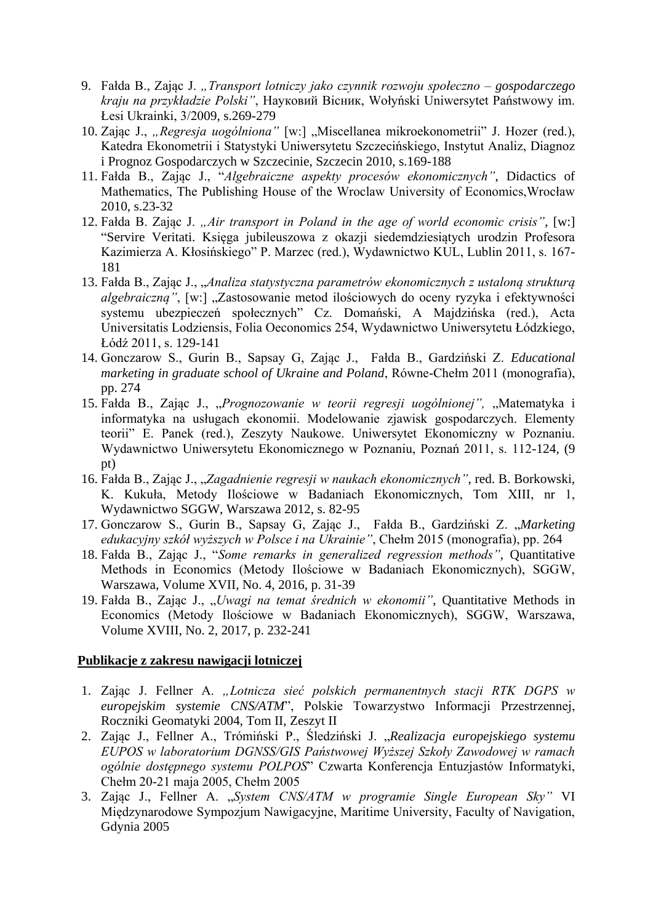- 9. Fałda B., Zając J. *"Transport lotniczy jako czynnik rozwoju społeczno – gospodarczego kraju na przykładzie Polski"*, Науковий Вісник, Wołyński Uniwersytet Państwowy im. Łesi Ukrainki, 3/2009, s.269-279
- 10. Zając J., "Regresja uogólniona" [w:] "Miscellanea mikroekonometrii" J. Hozer (red.), Katedra Ekonometrii i Statystyki Uniwersytetu Szczecińskiego, Instytut Analiz, Diagnoz i Prognoz Gospodarczych w Szczecinie, Szczecin 2010, s.169-188
- 11. Fałda B., Zając J., "*Algebraiczne aspekty procesów ekonomicznych"*, Didactics of Mathematics, The Publishing House of the Wroclaw University of Economics,Wrocław 2010, s.23-32
- 12. Fałda B. Zając J. *"Air transport in Poland in the age of world economic crisis"*, [w:] "Servire Veritati. Księga jubileuszowa z okazji siedemdziesiątych urodzin Profesora Kazimierza A. Kłosińskiego" P. Marzec (red.), Wydawnictwo KUL, Lublin 2011, s. 167- 181
- 13. Fałda B., Zając J., "*Analiza statystyczna parametrów ekonomicznych z ustaloną strukturą algebraiczną*", [w:] "Zastosowanie metod ilościowych do oceny ryzyka i efektywności systemu ubezpieczeń społecznych" Cz. Domański, A Majdzińska (red.), Acta Universitatis Lodziensis, Folia Oeconomics 254, Wydawnictwo Uniwersytetu Łódzkiego, Łódź 2011, s. 129-141
- 14. Gonczarow S., Gurin B., Sapsay G, Zając J., Fałda B., Gardziński Z. *Educational marketing in graduate school of Ukraine and Poland*, Równe-Chełm 2011 (monografia), pp. 274
- 15. Fałda B., Zając J., "Prognozowanie w teorii regresji uogólnionej", "Matematyka i informatyka na usługach ekonomii. Modelowanie zjawisk gospodarczych. Elementy teorii" E. Panek (red.), Zeszyty Naukowe. Uniwersytet Ekonomiczny w Poznaniu. Wydawnictwo Uniwersytetu Ekonomicznego w Poznaniu, Poznań 2011, s. 112-124, (9 pt)
- 16. Fałda B., Zając J., "*Zagadnienie regresji w naukach ekonomicznych"*, red. B. Borkowski, K. Kukuła, Metody Ilościowe w Badaniach Ekonomicznych, Tom XIII, nr 1, Wydawnictwo SGGW, Warszawa 2012, s. 82-95
- 17. Gonczarow S., Gurin B., Sapsay G, Zając J., Fałda B., Gardziński Z. "*Marketing edukacyjny szkół wyższych w Polsce i na Ukrainie"*, Chełm 2015 (monografia), pp. 264
- 18. Fałda B., Zając J., "*Some remarks in generalized regression methods"*, Quantitative Methods in Economics (Metody Ilościowe w Badaniach Ekonomicznych), SGGW, Warszawa, Volume XVII, No. 4, 2016, p. 31-39
- 19. Fałda B., Zając J., "*Uwagi na temat średnich w ekonomii"*, Quantitative Methods in Economics (Metody Ilościowe w Badaniach Ekonomicznych), SGGW, Warszawa, Volume XVIII, No. 2, 2017, p. 232-241

## **Publikacje z zakresu nawigacji lotniczej**

- 1. Zając J. Fellner A. *"Lotnicza sieć polskich permanentnych stacji RTK DGPS w europejskim systemie CNS/ATM*", Polskie Towarzystwo Informacji Przestrzennej, Roczniki Geomatyki 2004, Tom II, Zeszyt II
- 2. Zając J., Fellner A., Trómiński P., Śledziński J. "*Realizacja europejskiego systemu EUPOS w laboratorium DGNSS/GIS Państwowej Wyższej Szkoły Zawodowej w ramach ogólnie dostępnego systemu POLPOS*" Czwarta Konferencja Entuzjastów Informatyki, Chełm 20-21 maja 2005, Chełm 2005
- 3. Zając J., Fellner A. "*System CNS/ATM w programie Single European Sky"* VI Międzynarodowe Sympozjum Nawigacyjne, Maritime University, Faculty of Navigation, Gdynia 2005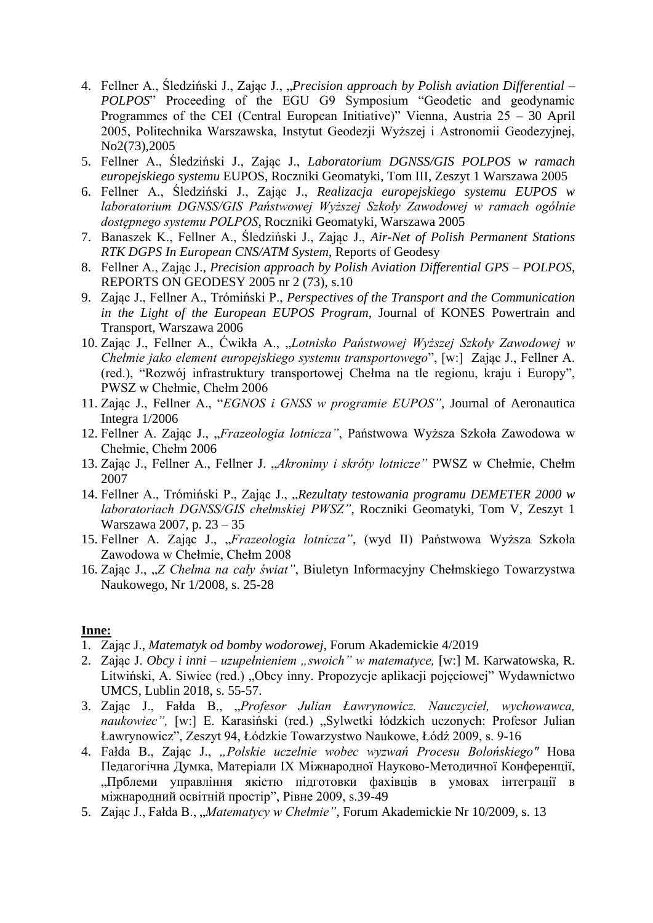- 4. Fellner A., Śledziński J., Zając J., "*Precision approach by Polish aviation Differential POLPOS*" Proceeding of the EGU G9 Symposium "Geodetic and geodynamic Programmes of the CEI (Central European Initiative)" Vienna, Austria 25 – 30 April 2005, Politechnika Warszawska, Instytut Geodezji Wyższej i Astronomii Geodezyjnej, No2(73),2005
- 5. Fellner A., Śledziński J., Zając J., *Laboratorium DGNSS/GIS POLPOS w ramach europejskiego systemu* EUPOS, Roczniki Geomatyki, Tom III, Zeszyt 1 Warszawa 2005
- 6. Fellner A., Śledziński J., Zając J., *Realizacja europejskiego systemu EUPOS w laboratorium DGNSS/GIS Państwowej Wyższej Szkoły Zawodowej w ramach ogólnie dostępnego systemu POLPOS*, Roczniki Geomatyki, Warszawa 2005
- 7. Banaszek K., Fellner A., Śledziński J., Zając J., *Air-Net of Polish Permanent Stations RTK DGPS In European CNS/ATM System*, Reports of Geodesy
- 8. Fellner A., Zając J., *Precision approach by Polish Aviation Differential GPS – POLPOS*, REPORTS ON GEODESY 2005 nr 2 (73), s.10
- 9. Zając J., Fellner A., Trómiński P., *Perspectives of the Transport and the Communication in the Light of the European EUPOS Program*, Journal of KONES Powertrain and Transport, Warszawa 2006
- 10. Zając J., Fellner A., Ćwikła A., "*Lotnisko Państwowej Wyższej Szkoły Zawodowej w Chełmie jako element europejskiego systemu transportowego*", [w:] Zając J., Fellner A. (red.), "Rozwój infrastruktury transportowej Chełma na tle regionu, kraju i Europy", PWSZ w Chełmie, Chełm 2006
- 11. Zając J., Fellner A., "*EGNOS i GNSS w programie EUPOS"*, Journal of Aeronautica Integra 1/2006
- 12. Fellner A. Zając J., "*Frazeologia lotnicza"*, Państwowa Wyższa Szkoła Zawodowa w Chełmie, Chełm 2006
- 13. Zając J., Fellner A., Fellner J. "*Akronimy i skróty lotnicze"* PWSZ w Chełmie, Chełm 2007
- 14. Fellner A., Trómiński P., Zając J., "*Rezultaty testowania programu DEMETER 2000 w laboratoriach DGNSS/GIS chełmskiej PWSZ"*, Roczniki Geomatyki, Tom V, Zeszyt 1 Warszawa 2007, p. 23 – 35
- 15. Fellner A. Zając J., "*Frazeologia lotnicza"*, (wyd II) Państwowa Wyższa Szkoła Zawodowa w Chełmie, Chełm 2008
- 16. Zając J., "*Z Chełma na cały świat"*, Biuletyn Informacyjny Chełmskiego Towarzystwa Naukowego, Nr 1/2008, s. 25-28

## **Inne:**

- 1. Zając J., *Matematyk od bomby wodorowej*, Forum Akademickie 4/2019
- 2. Zając J. *Obcy i inni – uzupełnieniem "swoich" w matematyce,* [w:] M. Karwatowska, R. Litwiński, A. Siwiec (red.) "Obcy inny. Propozycje aplikacji pojęciowej" Wydawnictwo UMCS, Lublin 2018, s. 55-57.
- 3. Zając J., Fałda B., "*Profesor Julian Ławrynowicz. Nauczyciel, wychowawca,*  naukowiec", [w:] E. Karasiński (red.) "Sylwetki łódzkich uczonych: Profesor Julian Ławrynowicz", Zeszyt 94, Łódzkie Towarzystwo Naukowe, Łódź 2009, s. 9-16
- 4. Fałda B., Zając J., *"Polskie uczelnie wobec wyzwań Procesu Bolońskiego"* Нова Педагогічна Думка, Матеріали IX Міжнародної Науково-Методичної Конференції, "Прблеми управління якістю підготовки фахівців в умовах інтеграції в міжнародний освітній простір", Рівне 2009, s.39-49
- 5. Zając J., Fałda B., "*Matematycy w Chełmie"*, Forum Akademickie Nr 10/2009, s. 13